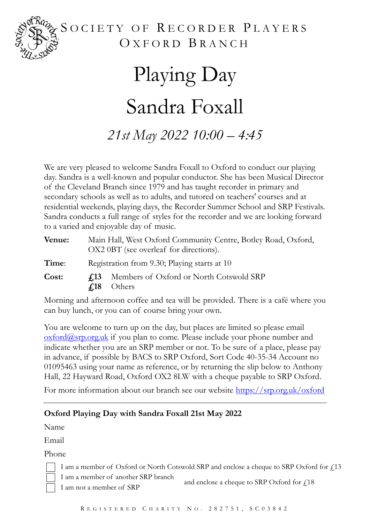

### SOCIETY OF RECORDER PLAYERS OXFORD BRANCH

# Playing Day Sandra Foxall *21st May 2022 10:00 – 4:45*

We are very pleased to welcome Sandra Foxall to Oxford to conduct our playing day. Sandra is a well-known and popular conductor. She has been Musical Director of the Cleveland Branch since 1979 and has taught recorder in primary and secondary schools as well as to adults, and tutored on teachers' courses and at residential weekends, playing days, the Recorder Summer School and SRP Festivals. Sandra conducts a full range of styles for the recorder and we are looking forward to a varied and enjoyable day of music.

| Venue: |                                              | Main Hall, West Oxford Community Centre, Botley Road, Oxford,<br>OX2 0BT (see overleaf for directions). |
|--------|----------------------------------------------|---------------------------------------------------------------------------------------------------------|
| Time:  | Registration from 9.30; Playing starts at 10 |                                                                                                         |
| Cost:  | 4.13<br>$\mathcal{L}18$                      | Members of Oxford or North Cotswold SRP<br>Others                                                       |

Morning and afternoon coffee and tea will be provided. There is a café where you can buy lunch, or you can of course bring your own.

You are welcome to turn up on the day, but places are limited so please email  $\alpha$  oxford $\alpha$ srp.org.uk if you plan to come. Please include your phone number and indicate whether you are an SRP member or not. To be sure of a place, please pay in advance, if possible by BACS to SRP Oxford, Sort Code 40-35-34 Account no 01095463 using your name as reference, or by returning the slip below to Anthony Hall, 22 Hayward Road, Oxford OX2 8LW with a cheque payable to SRP Oxford.

For more information about our branch see our website <https://srp.org.uk/oxford>

### **Oxford Playing Day with Sandra Foxall 21st May 2022**

Name

Email

Phone



I am a member of Oxford or North Cotswold SRP and enclose a cheque to SRP Oxford for  $f$ 13 I am a member of another SRP branch

and enclose a cheque to SRP Oxford for  $f<sub>i</sub>18$ I am not a member of SRP